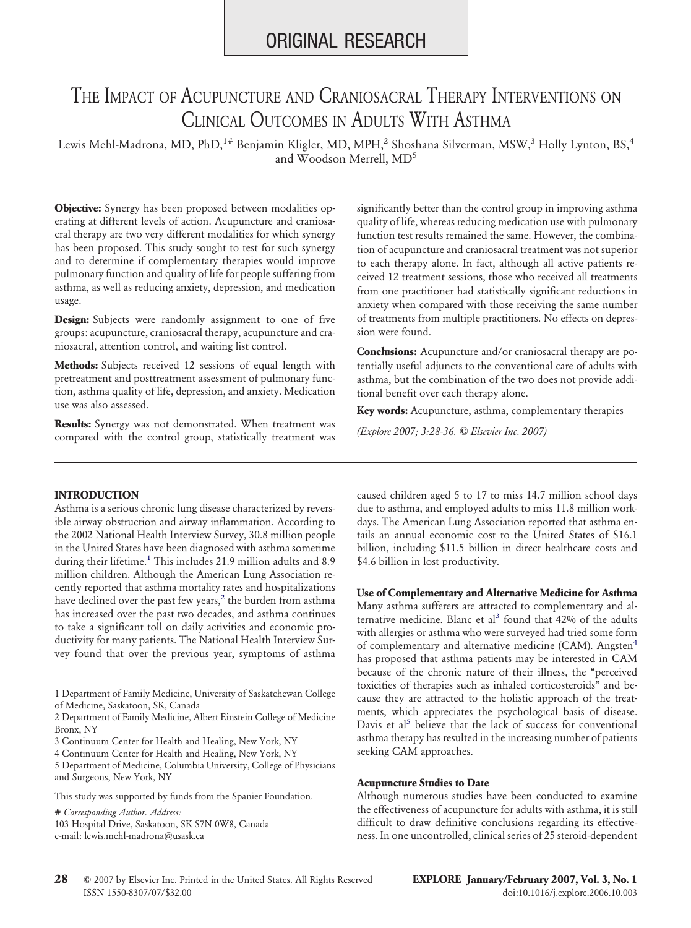# THE IMPACT OF ACUPUNCTURE AND CRANIOSACRAL THERAPY INTERVENTIONS ON CLINICAL OUTCOMES IN ADULTS WITH ASTHMA

Lewis Mehl-Madrona, MD, PhD,<sup>1#</sup> Benjamin Kligler, MD, MPH,<sup>2</sup> Shoshana Silverman, MSW,<sup>3</sup> Holly Lynton, BS,<sup>4</sup> and Woodson Merrell, MD<sup>5</sup>

**Objective:** Synergy has been proposed between modalities operating at different levels of action. Acupuncture and craniosacral therapy are two very different modalities for which synergy has been proposed. This study sought to test for such synergy and to determine if complementary therapies would improve pulmonary function and quality of life for people suffering from asthma, as well as reducing anxiety, depression, and medication usage.

**Design:** Subjects were randomly assignment to one of five groups: acupuncture, craniosacral therapy, acupuncture and craniosacral, attention control, and waiting list control.

**Methods:** Subjects received 12 sessions of equal length with pretreatment and posttreatment assessment of pulmonary function, asthma quality of life, depression, and anxiety. Medication use was also assessed.

**Results:** Synergy was not demonstrated. When treatment was compared with the control group, statistically treatment was significantly better than the control group in improving asthma quality of life, whereas reducing medication use with pulmonary function test results remained the same. However, the combination of acupuncture and craniosacral treatment was not superior to each therapy alone. In fact, although all active patients received 12 treatment sessions, those who received all treatments from one practitioner had statistically significant reductions in anxiety when compared with those receiving the same number of treatments from multiple practitioners. No effects on depression were found.

**Conclusions:** Acupuncture and/or craniosacral therapy are potentially useful adjuncts to the conventional care of adults with asthma, but the combination of the two does not provide additional benefit over each therapy alone.

**Key words:** Acupuncture, asthma, complementary therapies

*(Explore 2007; 3:28-36. © Elsevier Inc. 2007)*

## **INTRODUCTION**

Asthma is a serious chronic lung disease characterized by reversible airway obstruction and airway inflammation. According to the 2002 National Health Interview Survey, 30.8 million people in the United States have been diagnosed with asthma sometime during their lifetime.<sup>1</sup> This includes 21.9 million adults and 8.9 million children. Although the American Lung Association recently reported that asthma mortality rates and hospitalizations have declined over the past few years,<sup>2</sup> the burden from asthma has increased over the past two decades, and asthma continues to take a significant toll on daily activities and economic productivity for many patients. The National Health Interview Survey found that over the previous year, symptoms of asthma

# *Corresponding Author. Address:*

103 Hospital Drive, Saskatoon, SK S7N 0W8, Canada e-mail: lewis.mehl-madrona@usask.ca

caused children aged 5 to 17 to miss 14.7 million school days due to asthma, and employed adults to miss 11.8 million workdays. The American Lung Association reported that asthma entails an annual economic cost to the United States of \$16.1 billion, including \$11.5 billion in direct healthcare costs and \$4.6 billion in lost productivity.

**Use of Complementary and Alternative Medicine for Asthma** Many asthma sufferers are attracted to complementary and alternative medicine. Blanc et al<sup>3</sup> found that  $42\%$  of the adults with allergies or asthma who were surveyed had tried some form of complementary and alternative medicine (CAM). Angsten<sup>4</sup> has proposed that asthma patients may be interested in CAM because of the chronic nature of their illness, the "perceived toxicities of therapies such as inhaled corticosteroids" and because they are attracted to the holistic approach of the treatments, which appreciates the psychological basis of disease. Davis et al<sup>5</sup> believe that the lack of success for conventional asthma therapy has resulted in the increasing number of patients seeking CAM approaches.

#### **Acupuncture Studies to Date**

Although numerous studies have been conducted to examine the effectiveness of acupuncture for adults with asthma, it is still difficult to draw definitive conclusions regarding its effectiveness. In one uncontrolled, clinical series of 25 steroid-dependent

<sup>1</sup> Department of Family Medicine, University of Saskatchewan College of Medicine, Saskatoon, SK, Canada

<sup>2</sup> Department of Family Medicine, Albert Einstein College of Medicine Bronx, NY

<sup>3</sup> Continuum Center for Health and Healing, New York, NY

<sup>4</sup> Continuum Center for Health and Healing, New York, NY

<sup>5</sup> Department of Medicine, Columbia University, College of Physicians and Surgeons, New York, NY

This study was supported by funds from the Spanier Foundation.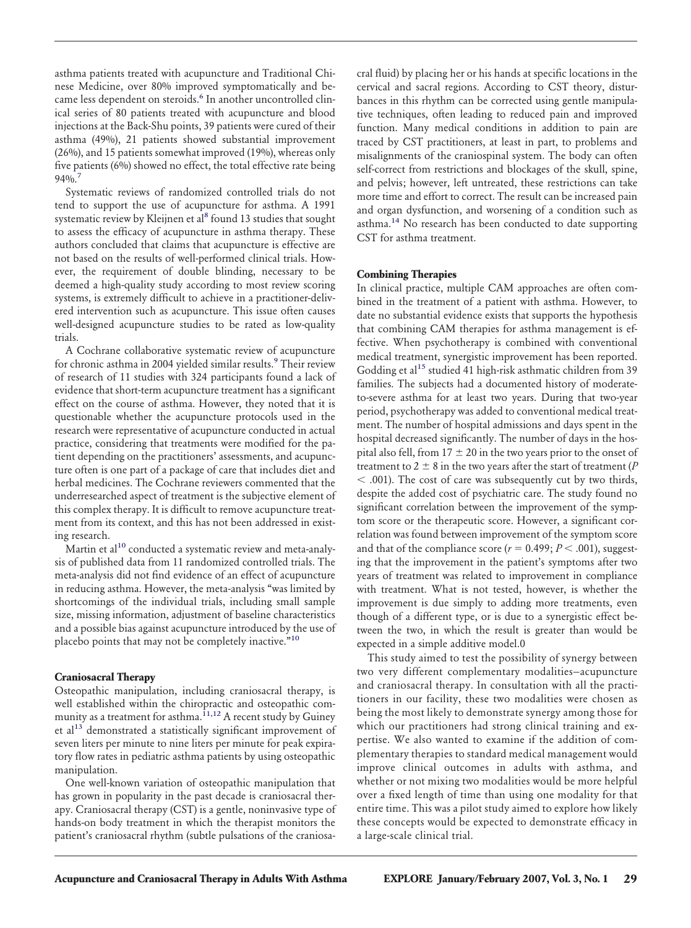asthma patients treated with acupuncture and Traditional Chinese Medicine, over 80% improved symptomatically and became less dependent on steroids.<sup>6</sup> In another uncontrolled clinical series of 80 patients treated with acupuncture and blood injections at the Back-Shu points, 39 patients were cured of their asthma (49%), 21 patients showed substantial improvement (26%), and 15 patients somewhat improved (19%), whereas only five patients (6%) showed no effect, the total effective rate being 94%[.7](#page-8-0)

Systematic reviews of randomized controlled trials do not tend to support the use of acupuncture for asthma. A 1991 systematic review by Kleijnen et al<sup>8</sup> found 13 studies that sought to assess the efficacy of acupuncture in asthma therapy. These authors concluded that claims that acupuncture is effective are not based on the results of well-performed clinical trials. However, the requirement of double blinding, necessary to be deemed a high-quality study according to most review scoring systems, is extremely difficult to achieve in a practitioner-delivered intervention such as acupuncture. This issue often causes well-designed acupuncture studies to be rated as low-quality trials.

A Cochrane collaborative systematic review of acupuncture for chronic asthma in 2004 yielded similar results.<sup>9</sup> Their review of research of 11 studies with 324 participants found a lack of evidence that short-term acupuncture treatment has a significant effect on the course of asthma. However, they noted that it is questionable whether the acupuncture protocols used in the research were representative of acupuncture conducted in actual practice, considering that treatments were modified for the patient depending on the practitioners' assessments, and acupuncture often is one part of a package of care that includes diet and herbal medicines. The Cochrane reviewers commented that the underresearched aspect of treatment is the subjective element of this complex therapy. It is difficult to remove acupuncture treatment from its context, and this has not been addressed in existing research.

Martin et al<sup>10</sup> conducted a systematic review and meta-analysis of published data from 11 randomized controlled trials. The meta-analysis did not find evidence of an effect of acupuncture in reducing asthma. However, the meta-analysis "was limited by shortcomings of the individual trials, including small sample size, missing information, adjustment of baseline characteristics and a possible bias against acupuncture introduced by the use of placebo points that may not be completely inactive.["10](#page-8-0)

# **Craniosacral Therapy**

Osteopathic manipulation, including craniosacral therapy, is well established within the chiropractic and osteopathic community as a treatment for asthma.<sup>11,12</sup> A recent study by Guiney et al<sup>13</sup> demonstrated a statistically significant improvement of seven liters per minute to nine liters per minute for peak expiratory flow rates in pediatric asthma patients by using osteopathic manipulation.

One well-known variation of osteopathic manipulation that has grown in popularity in the past decade is craniosacral therapy. Craniosacral therapy (CST) is a gentle, noninvasive type of hands-on body treatment in which the therapist monitors the patient's craniosacral rhythm (subtle pulsations of the craniosacral fluid) by placing her or his hands at specific locations in the cervical and sacral regions. According to CST theory, disturbances in this rhythm can be corrected using gentle manipulative techniques, often leading to reduced pain and improved function. Many medical conditions in addition to pain are traced by CST practitioners, at least in part, to problems and misalignments of the craniospinal system. The body can often self-correct from restrictions and blockages of the skull, spine, and pelvis; however, left untreated, these restrictions can take more time and effort to correct. The result can be increased pain and organ dysfunction, and worsening of a condition such as asthma.<sup>14</sup> No research has been conducted to date supporting CST for asthma treatment.

# **Combining Therapies**

In clinical practice, multiple CAM approaches are often combined in the treatment of a patient with asthma. However, to date no substantial evidence exists that supports the hypothesis that combining CAM therapies for asthma management is effective. When psychotherapy is combined with conventional medical treatment, synergistic improvement has been reported. Godding et al<sup>15</sup> studied 41 high-risk asthmatic children from 39 families. The subjects had a documented history of moderateto-severe asthma for at least two years. During that two-year period, psychotherapy was added to conventional medical treatment. The number of hospital admissions and days spent in the hospital decreased significantly. The number of days in the hospital also fell, from  $17 \pm 20$  in the two years prior to the onset of treatment to  $2 \pm 8$  in the two years after the start of treatment (*P* - .001). The cost of care was subsequently cut by two thirds, despite the added cost of psychiatric care. The study found no significant correlation between the improvement of the symptom score or the therapeutic score. However, a significant correlation was found between improvement of the symptom score and that of the compliance score ( $r = 0.499; P < .001$ ), suggesting that the improvement in the patient's symptoms after two years of treatment was related to improvement in compliance with treatment. What is not tested, however, is whether the improvement is due simply to adding more treatments, even though of a different type, or is due to a synergistic effect between the two, in which the result is greater than would be expected in a simple additive model.0

This study aimed to test the possibility of synergy between two very different complementary modalities—acupuncture and craniosacral therapy. In consultation with all the practitioners in our facility, these two modalities were chosen as being the most likely to demonstrate synergy among those for which our practitioners had strong clinical training and expertise. We also wanted to examine if the addition of complementary therapies to standard medical management would improve clinical outcomes in adults with asthma, and whether or not mixing two modalities would be more helpful over a fixed length of time than using one modality for that entire time. This was a pilot study aimed to explore how likely these concepts would be expected to demonstrate efficacy in a large-scale clinical trial.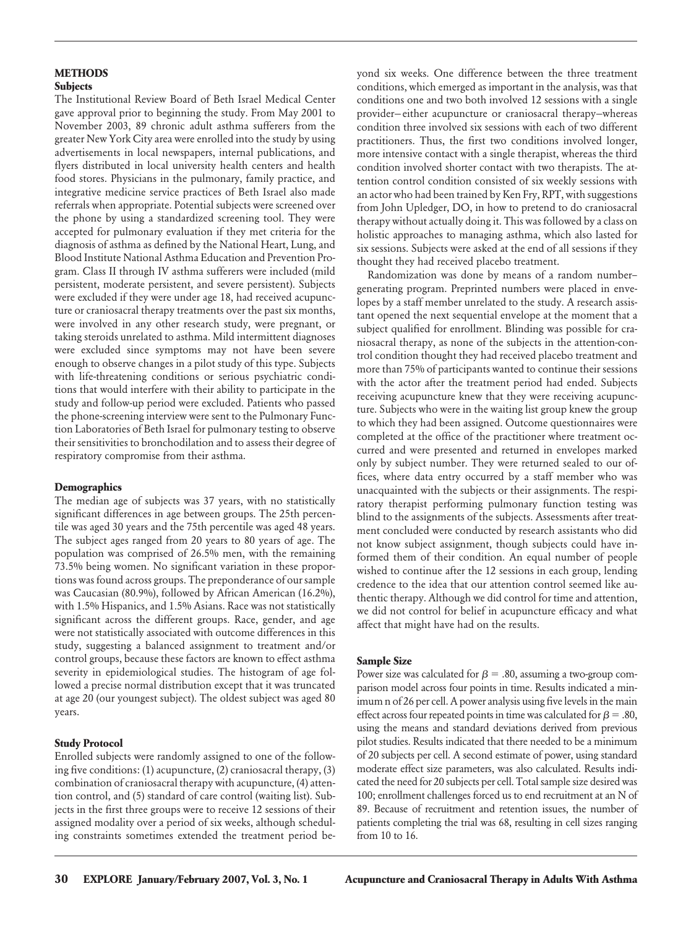## **METHODS Subjects**

The Institutional Review Board of Beth Israel Medical Center gave approval prior to beginning the study. From May 2001 to November 2003, 89 chronic adult asthma sufferers from the greater New York City area were enrolled into the study by using advertisements in local newspapers, internal publications, and flyers distributed in local university health centers and health food stores. Physicians in the pulmonary, family practice, and integrative medicine service practices of Beth Israel also made referrals when appropriate. Potential subjects were screened over the phone by using a standardized screening tool. They were accepted for pulmonary evaluation if they met criteria for the diagnosis of asthma as defined by the National Heart, Lung, and Blood Institute National Asthma Education and Prevention Program. Class II through IV asthma sufferers were included (mild persistent, moderate persistent, and severe persistent). Subjects were excluded if they were under age 18, had received acupuncture or craniosacral therapy treatments over the past six months, were involved in any other research study, were pregnant, or taking steroids unrelated to asthma. Mild intermittent diagnoses were excluded since symptoms may not have been severe enough to observe changes in a pilot study of this type. Subjects with life-threatening conditions or serious psychiatric conditions that would interfere with their ability to participate in the study and follow-up period were excluded. Patients who passed the phone-screening interview were sent to the Pulmonary Function Laboratories of Beth Israel for pulmonary testing to observe their sensitivities to bronchodilation and to assess their degree of respiratory compromise from their asthma.

# **Demographics**

The median age of subjects was 37 years, with no statistically significant differences in age between groups. The 25th percentile was aged 30 years and the 75th percentile was aged 48 years. The subject ages ranged from 20 years to 80 years of age. The population was comprised of 26.5% men, with the remaining 73.5% being women. No significant variation in these proportions was found across groups. The preponderance of our sample was Caucasian (80.9%), followed by African American (16.2%), with 1.5% Hispanics, and 1.5% Asians. Race was not statistically significant across the different groups. Race, gender, and age were not statistically associated with outcome differences in this study, suggesting a balanced assignment to treatment and/or control groups, because these factors are known to effect asthma severity in epidemiological studies. The histogram of age followed a precise normal distribution except that it was truncated at age 20 (our youngest subject). The oldest subject was aged 80 years.

# **Study Protocol**

Enrolled subjects were randomly assigned to one of the following five conditions: (1) acupuncture, (2) craniosacral therapy, (3) combination of craniosacral therapy with acupuncture, (4) attention control, and (5) standard of care control (waiting list). Subjects in the first three groups were to receive 12 sessions of their assigned modality over a period of six weeks, although scheduling constraints sometimes extended the treatment period beyond six weeks. One difference between the three treatment conditions, which emerged as important in the analysis, was that conditions one and two both involved 12 sessions with a single provider— either acupuncture or craniosacral therapy—whereas condition three involved six sessions with each of two different practitioners. Thus, the first two conditions involved longer, more intensive contact with a single therapist, whereas the third condition involved shorter contact with two therapists. The attention control condition consisted of six weekly sessions with an actor who had been trained by Ken Fry, RPT, with suggestions from John Upledger, DO, in how to pretend to do craniosacral therapy without actually doing it. This was followed by a class on holistic approaches to managing asthma, which also lasted for six sessions. Subjects were asked at the end of all sessions if they thought they had received placebo treatment.

Randomization was done by means of a random number– generating program. Preprinted numbers were placed in envelopes by a staff member unrelated to the study. A research assistant opened the next sequential envelope at the moment that a subject qualified for enrollment. Blinding was possible for craniosacral therapy, as none of the subjects in the attention-control condition thought they had received placebo treatment and more than 75% of participants wanted to continue their sessions with the actor after the treatment period had ended. Subjects receiving acupuncture knew that they were receiving acupuncture. Subjects who were in the waiting list group knew the group to which they had been assigned. Outcome questionnaires were completed at the office of the practitioner where treatment occurred and were presented and returned in envelopes marked only by subject number. They were returned sealed to our offices, where data entry occurred by a staff member who was unacquainted with the subjects or their assignments. The respiratory therapist performing pulmonary function testing was blind to the assignments of the subjects. Assessments after treatment concluded were conducted by research assistants who did not know subject assignment, though subjects could have informed them of their condition. An equal number of people wished to continue after the 12 sessions in each group, lending credence to the idea that our attention control seemed like authentic therapy. Although we did control for time and attention, we did not control for belief in acupuncture efficacy and what affect that might have had on the results.

# **Sample Size**

Power size was calculated for  $\beta = .80$ , assuming a two-group comparison model across four points in time. Results indicated a minimum n of 26 per cell. A power analysis using five levels in the main effect across four repeated points in time was calculated for  $\beta = .80$ , using the means and standard deviations derived from previous pilot studies. Results indicated that there needed to be a minimum of 20 subjects per cell. A second estimate of power, using standard moderate effect size parameters, was also calculated. Results indicated the need for 20 subjects per cell. Total sample size desired was 100; enrollment challenges forced us to end recruitment at an N of 89. Because of recruitment and retention issues, the number of patients completing the trial was 68, resulting in cell sizes ranging from 10 to 16.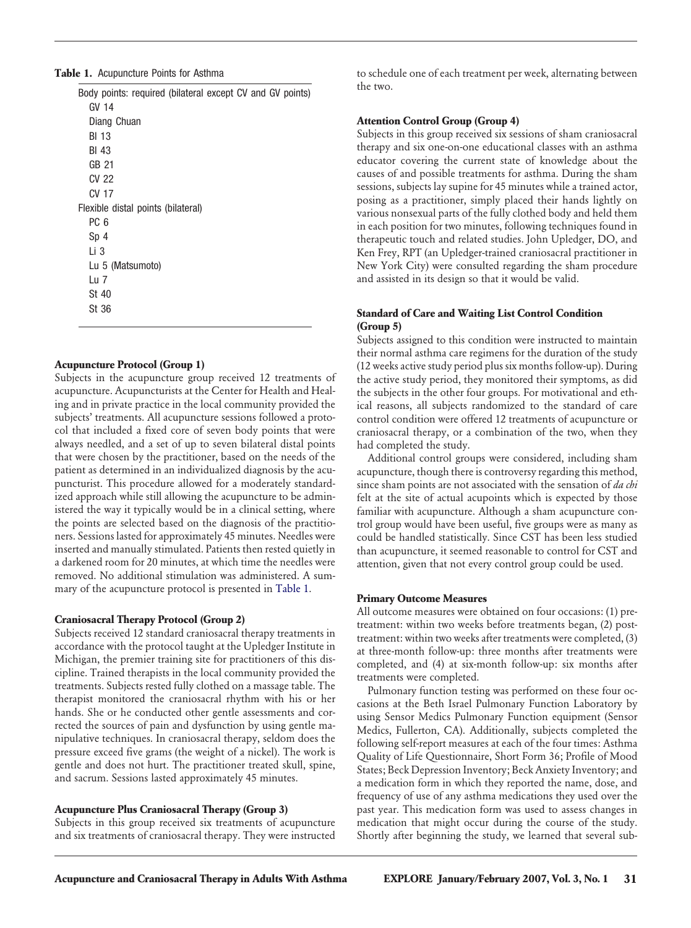#### **Table 1.** Acupuncture Points for Asthma

| Body points: required (bilateral except CV and GV points) |
|-----------------------------------------------------------|
| GV <sub>14</sub>                                          |
| Diang Chuan                                               |
| <b>BI 13</b>                                              |
| BI 43                                                     |
| GB 21                                                     |
| CV 22                                                     |
| CV 17                                                     |
| Flexible distal points (bilateral)                        |
| PC 6                                                      |
| Sp <sub>4</sub>                                           |
| Li 3                                                      |
| Lu 5 (Matsumoto)                                          |
| Lu 7                                                      |
| St 40                                                     |
| St 36                                                     |
|                                                           |

# **Acupuncture Protocol (Group 1)**

Subjects in the acupuncture group received 12 treatments of acupuncture. Acupuncturists at the Center for Health and Healing and in private practice in the local community provided the subjects' treatments. All acupuncture sessions followed a protocol that included a fixed core of seven body points that were always needled, and a set of up to seven bilateral distal points that were chosen by the practitioner, based on the needs of the patient as determined in an individualized diagnosis by the acupuncturist. This procedure allowed for a moderately standardized approach while still allowing the acupuncture to be administered the way it typically would be in a clinical setting, where the points are selected based on the diagnosis of the practitioners. Sessions lasted for approximately 45 minutes. Needles were inserted and manually stimulated. Patients then rested quietly in a darkened room for 20 minutes, at which time the needles were removed. No additional stimulation was administered. A summary of the acupuncture protocol is presented in Table 1.

# **Craniosacral Therapy Protocol (Group 2)**

Subjects received 12 standard craniosacral therapy treatments in accordance with the protocol taught at the Upledger Institute in Michigan, the premier training site for practitioners of this discipline. Trained therapists in the local community provided the treatments. Subjects rested fully clothed on a massage table. The therapist monitored the craniosacral rhythm with his or her hands. She or he conducted other gentle assessments and corrected the sources of pain and dysfunction by using gentle manipulative techniques. In craniosacral therapy, seldom does the pressure exceed five grams (the weight of a nickel). The work is gentle and does not hurt. The practitioner treated skull, spine, and sacrum. Sessions lasted approximately 45 minutes.

# **Acupuncture Plus Craniosacral Therapy (Group 3)**

Subjects in this group received six treatments of acupuncture and six treatments of craniosacral therapy. They were instructed to schedule one of each treatment per week, alternating between the two.

# **Attention Control Group (Group 4)**

Subjects in this group received six sessions of sham craniosacral therapy and six one-on-one educational classes with an asthma educator covering the current state of knowledge about the causes of and possible treatments for asthma. During the sham sessions, subjects lay supine for 45 minutes while a trained actor, posing as a practitioner, simply placed their hands lightly on various nonsexual parts of the fully clothed body and held them in each position for two minutes, following techniques found in therapeutic touch and related studies. John Upledger, DO, and Ken Frey, RPT (an Upledger-trained craniosacral practitioner in New York City) were consulted regarding the sham procedure and assisted in its design so that it would be valid.

# **Standard of Care and Waiting List Control Condition (Group 5)**

Subjects assigned to this condition were instructed to maintain their normal asthma care regimens for the duration of the study (12 weeks active study period plus six months follow-up). During the active study period, they monitored their symptoms, as did the subjects in the other four groups. For motivational and ethical reasons, all subjects randomized to the standard of care control condition were offered 12 treatments of acupuncture or craniosacral therapy, or a combination of the two, when they had completed the study.

Additional control groups were considered, including sham acupuncture, though there is controversy regarding this method, since sham points are not associated with the sensation of *da chi* felt at the site of actual acupoints which is expected by those familiar with acupuncture. Although a sham acupuncture control group would have been useful, five groups were as many as could be handled statistically. Since CST has been less studied than acupuncture, it seemed reasonable to control for CST and attention, given that not every control group could be used.

# **Primary Outcome Measures**

All outcome measures were obtained on four occasions: (1) pretreatment: within two weeks before treatments began, (2) posttreatment: within two weeks after treatments were completed, (3) at three-month follow-up: three months after treatments were completed, and (4) at six-month follow-up: six months after treatments were completed.

Pulmonary function testing was performed on these four occasions at the Beth Israel Pulmonary Function Laboratory by using Sensor Medics Pulmonary Function equipment (Sensor Medics, Fullerton, CA). Additionally, subjects completed the following self-report measures at each of the four times: Asthma Quality of Life Questionnaire, Short Form 36; Profile of Mood States; Beck Depression Inventory; Beck Anxiety Inventory; and a medication form in which they reported the name, dose, and frequency of use of any asthma medications they used over the past year. This medication form was used to assess changes in medication that might occur during the course of the study. Shortly after beginning the study, we learned that several sub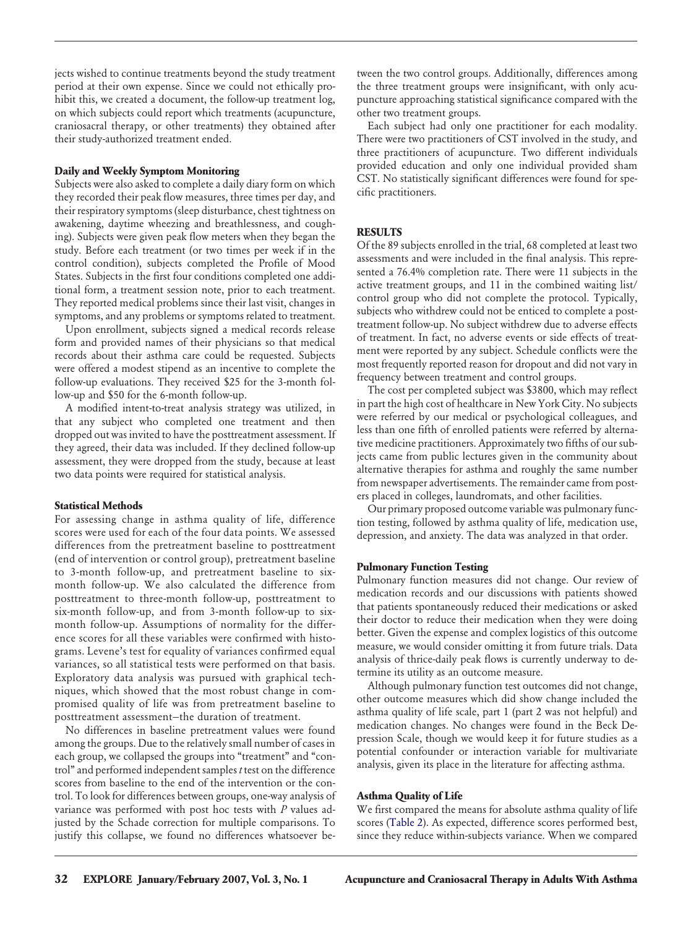jects wished to continue treatments beyond the study treatment period at their own expense. Since we could not ethically prohibit this, we created a document, the follow-up treatment log, on which subjects could report which treatments (acupuncture, craniosacral therapy, or other treatments) they obtained after their study-authorized treatment ended.

# **Daily and Weekly Symptom Monitoring**

Subjects were also asked to complete a daily diary form on which they recorded their peak flow measures, three times per day, and their respiratory symptoms (sleep disturbance, chest tightness on awakening, daytime wheezing and breathlessness, and coughing). Subjects were given peak flow meters when they began the study. Before each treatment (or two times per week if in the control condition), subjects completed the Profile of Mood States. Subjects in the first four conditions completed one additional form, a treatment session note, prior to each treatment. They reported medical problems since their last visit, changes in symptoms, and any problems or symptoms related to treatment.

Upon enrollment, subjects signed a medical records release form and provided names of their physicians so that medical records about their asthma care could be requested. Subjects were offered a modest stipend as an incentive to complete the follow-up evaluations. They received \$25 for the 3-month follow-up and \$50 for the 6-month follow-up.

A modified intent-to-treat analysis strategy was utilized, in that any subject who completed one treatment and then dropped out was invited to have the posttreatment assessment. If they agreed, their data was included. If they declined follow-up assessment, they were dropped from the study, because at least two data points were required for statistical analysis.

### **Statistical Methods**

For assessing change in asthma quality of life, difference scores were used for each of the four data points. We assessed differences from the pretreatment baseline to posttreatment (end of intervention or control group), pretreatment baseline to 3-month follow-up, and pretreatment baseline to sixmonth follow-up. We also calculated the difference from posttreatment to three-month follow-up, posttreatment to six-month follow-up, and from 3-month follow-up to sixmonth follow-up. Assumptions of normality for the difference scores for all these variables were confirmed with histograms. Levene's test for equality of variances confirmed equal variances, so all statistical tests were performed on that basis. Exploratory data analysis was pursued with graphical techniques, which showed that the most robust change in compromised quality of life was from pretreatment baseline to posttreatment assessment—the duration of treatment.

No differences in baseline pretreatment values were found among the groups. Due to the relatively small number of cases in each group, we collapsed the groups into "treatment" and "control" and performed independent samples *t* test on the difference scores from baseline to the end of the intervention or the control. To look for differences between groups, one-way analysis of variance was performed with post hoc tests with *P* values adjusted by the Schade correction for multiple comparisons. To justify this collapse, we found no differences whatsoever between the two control groups. Additionally, differences among the three treatment groups were insignificant, with only acupuncture approaching statistical significance compared with the other two treatment groups.

Each subject had only one practitioner for each modality. There were two practitioners of CST involved in the study, and three practitioners of acupuncture. Two different individuals provided education and only one individual provided sham CST. No statistically significant differences were found for specific practitioners.

## **RESULTS**

Of the 89 subjects enrolled in the trial, 68 completed at least two assessments and were included in the final analysis. This represented a 76.4% completion rate. There were 11 subjects in the active treatment groups, and 11 in the combined waiting list/ control group who did not complete the protocol. Typically, subjects who withdrew could not be enticed to complete a posttreatment follow-up. No subject withdrew due to adverse effects of treatment. In fact, no adverse events or side effects of treatment were reported by any subject. Schedule conflicts were the most frequently reported reason for dropout and did not vary in frequency between treatment and control groups.

The cost per completed subject was \$3800, which may reflect in part the high cost of healthcare in New York City. No subjects were referred by our medical or psychological colleagues, and less than one fifth of enrolled patients were referred by alternative medicine practitioners. Approximately two fifths of our subjects came from public lectures given in the community about alternative therapies for asthma and roughly the same number from newspaper advertisements. The remainder came from posters placed in colleges, laundromats, and other facilities.

Our primary proposed outcome variable was pulmonary function testing, followed by asthma quality of life, medication use, depression, and anxiety. The data was analyzed in that order.

#### **Pulmonary Function Testing**

Pulmonary function measures did not change. Our review of medication records and our discussions with patients showed that patients spontaneously reduced their medications or asked their doctor to reduce their medication when they were doing better. Given the expense and complex logistics of this outcome measure, we would consider omitting it from future trials. Data analysis of thrice-daily peak flows is currently underway to determine its utility as an outcome measure.

Although pulmonary function test outcomes did not change, other outcome measures which did show change included the asthma quality of life scale, part 1 (part 2 was not helpful) and medication changes. No changes were found in the Beck Depression Scale, though we would keep it for future studies as a potential confounder or interaction variable for multivariate analysis, given its place in the literature for affecting asthma.

## **Asthma Quality of Life**

We first compared the means for absolute asthma quality of life scores [\(Table](#page-5-0) 2). As expected, difference scores performed best, since they reduce within-subjects variance. When we compared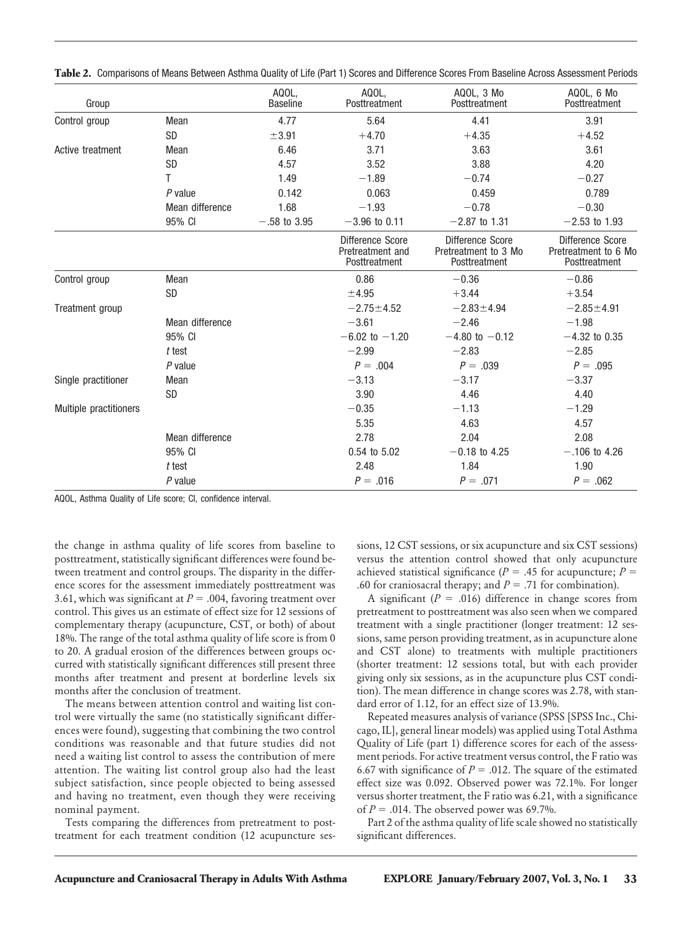| Group                  |                 | AQOL,<br><b>Baseline</b> | AQOL,<br>Posttreatment                                | AQOL, 3 Mo<br>Posttreatment                               | AQOL, 6 Mo<br>Posttreatment                               |
|------------------------|-----------------|--------------------------|-------------------------------------------------------|-----------------------------------------------------------|-----------------------------------------------------------|
| Control group          | Mean            | 4.77                     | 5.64                                                  | 4.41                                                      | 3.91                                                      |
|                        | <b>SD</b>       | ±3.91                    | $+4.70$                                               | $+4.35$                                                   | $+4.52$                                                   |
| Active treatment       | Mean            | 6.46                     | 3.71                                                  | 3.63                                                      | 3.61                                                      |
|                        | <b>SD</b>       | 4.57                     | 3.52                                                  | 3.88                                                      | 4.20                                                      |
|                        | T               | 1.49                     | $-1.89$                                               | $-0.74$                                                   | $-0.27$                                                   |
|                        | $P$ value       | 0.142                    | 0.063                                                 | 0.459                                                     | 0.789                                                     |
|                        | Mean difference | 1.68                     | $-1.93$                                               | $-0.78$                                                   | $-0.30$                                                   |
|                        | 95% CI          | $-.58$ to 3.95           | $-3.96$ to 0.11                                       | $-2.87$ to 1.31                                           | $-2.53$ to 1.93                                           |
|                        |                 |                          | Difference Score<br>Pretreatment and<br>Posttreatment | Difference Score<br>Pretreatment to 3 Mo<br>Posttreatment | Difference Score<br>Pretreatment to 6 Mo<br>Posttreatment |
| Control group          | Mean            |                          | 0.86                                                  | $-0.36$                                                   | $-0.86$                                                   |
|                        | <b>SD</b>       |                          | ±4.95                                                 | $+3.44$                                                   | $+3.54$                                                   |
| Treatment group        |                 |                          | $-2.75 \pm 4.52$                                      | $-2.83 \pm 4.94$                                          | $-2.85 \pm 4.91$                                          |
|                        | Mean difference |                          | $-3.61$                                               | $-2.46$                                                   | $-1.98$                                                   |
|                        | 95% CI          |                          | $-6.02$ to $-1.20$                                    | $-4.80$ to $-0.12$                                        | $-4.32$ to 0.35                                           |
|                        | t test          |                          | $-2.99$                                               | $-2.83$                                                   | $-2.85$                                                   |
|                        | $P$ value       |                          | $P = .004$                                            | $P = .039$                                                | $P = .095$                                                |
| Single practitioner    | Mean            |                          | $-3.13$                                               | $-3.17$                                                   | $-3.37$                                                   |
|                        | <b>SD</b>       |                          | 3.90                                                  | 4.46                                                      | 4.40                                                      |
| Multiple practitioners |                 |                          | $-0.35$                                               | $-1.13$                                                   | $-1.29$                                                   |
|                        |                 |                          | 5.35                                                  | 4.63                                                      | 4.57                                                      |
|                        | Mean difference |                          | 2.78                                                  | 2.04                                                      | 2.08                                                      |
|                        | 95% CI          |                          | 0.54 to 5.02                                          | $-0.18$ to 4.25                                           | $-.106$ to 4.26                                           |
|                        | t test          |                          | 2.48                                                  | 1.84                                                      | 1.90                                                      |
|                        | P value         |                          | $P = .016$                                            | $P = .071$                                                | $P = .062$                                                |

<span id="page-5-0"></span>**Table 2.** Comparisons of Means Between Asthma Quality of Life (Part 1) Scores and Difference Scores From Baseline Across Assessment Periods

AQOL, Asthma Quality of Life score; CI, confidence interval.

the change in asthma quality of life scores from baseline to posttreatment, statistically significant differences were found between treatment and control groups. The disparity in the difference scores for the assessment immediately posttreatment was 3.61, which was significant at  $P = .004$ , favoring treatment over control. This gives us an estimate of effect size for 12 sessions of complementary therapy (acupuncture, CST, or both) of about 18%. The range of the total asthma quality of life score is from 0 to 20. A gradual erosion of the differences between groups occurred with statistically significant differences still present three months after treatment and present at borderline levels six months after the conclusion of treatment.

The means between attention control and waiting list control were virtually the same (no statistically significant differences were found), suggesting that combining the two control conditions was reasonable and that future studies did not need a waiting list control to assess the contribution of mere attention. The waiting list control group also had the least subject satisfaction, since people objected to being assessed and having no treatment, even though they were receiving nominal payment.

Tests comparing the differences from pretreatment to posttreatment for each treatment condition (12 acupuncture sessions, 12 CST sessions, or six acupuncture and six CST sessions) versus the attention control showed that only acupuncture achieved statistical significance ( $P = .45$  for acupuncture;  $P =$ .60 for craniosacral therapy; and  $P = .71$  for combination).

A significant  $(P = .016)$  difference in change scores from pretreatment to posttreatment was also seen when we compared treatment with a single practitioner (longer treatment: 12 sessions, same person providing treatment, as in acupuncture alone and CST alone) to treatments with multiple practitioners (shorter treatment: 12 sessions total, but with each provider giving only six sessions, as in the acupuncture plus CST condition). The mean difference in change scores was 2.78, with standard error of 1.12, for an effect size of 13.9%.

Repeated measures analysis of variance (SPSS [SPSS Inc., Chicago, IL], general linear models) was applied using Total Asthma Quality of Life (part 1) difference scores for each of the assessment periods. For active treatment versus control, the F ratio was 6.67 with significance of  $P = .012$ . The square of the estimated effect size was 0.092. Observed power was 72.1%. For longer versus shorter treatment, the F ratio was 6.21, with a significance of  $P = .014$ . The observed power was 69.7%.

Part 2 of the asthma quality of life scale showed no statistically significant differences.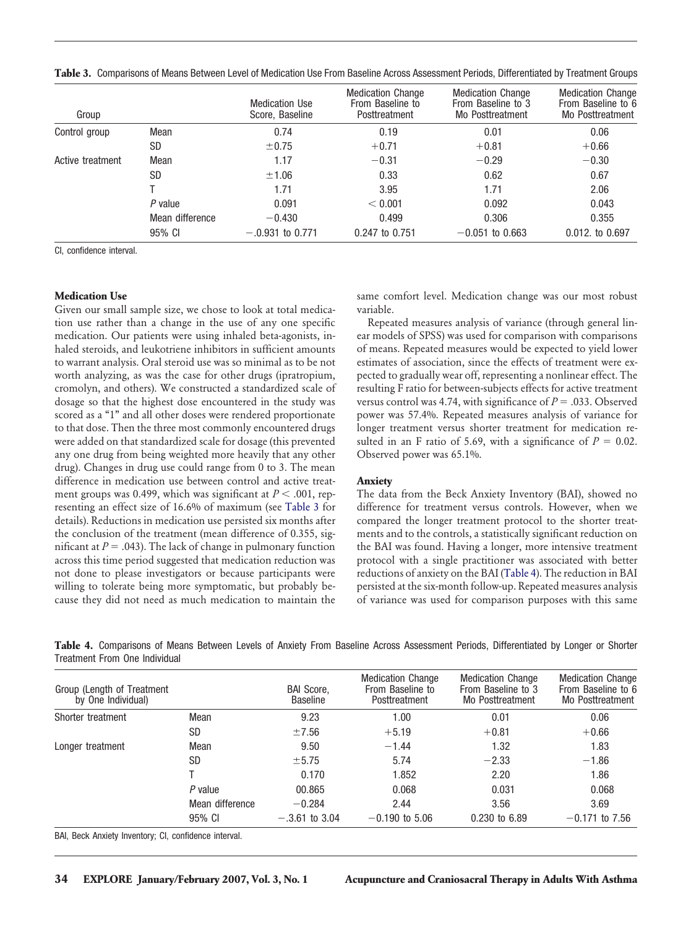**Table 3.** Comparisons of Means Between Level of Medication Use From Baseline Across Assessment Periods, Differentiated by Treatment Groups

| Group            |                 | <b>Medication Use</b><br>Score, Baseline | <b>Medication Change</b><br>From Baseline to<br>Posttreatment | <b>Medication Change</b><br>From Baseline to 3<br>Mo Posttreatment | <b>Medication Change</b><br>From Baseline to 6<br>Mo Posttreatment |
|------------------|-----------------|------------------------------------------|---------------------------------------------------------------|--------------------------------------------------------------------|--------------------------------------------------------------------|
| Control group    | Mean            | 0.74                                     | 0.19                                                          | 0.01                                                               | 0.06                                                               |
|                  | SD              | ±0.75                                    | $+0.71$                                                       | $+0.81$                                                            | $+0.66$                                                            |
| Active treatment | Mean            | 1.17                                     | $-0.31$                                                       | $-0.29$                                                            | $-0.30$                                                            |
|                  | SD              | ±1.06                                    | 0.33                                                          | 0.62                                                               | 0.67                                                               |
|                  |                 | 1.71                                     | 3.95                                                          | 1.71                                                               | 2.06                                                               |
|                  | P value         | 0.091                                    | < 0.001                                                       | 0.092                                                              | 0.043                                                              |
|                  | Mean difference | $-0.430$                                 | 0.499                                                         | 0.306                                                              | 0.355                                                              |
|                  | 95% CI          | $-.0.931$ to 0.771                       | 0.247 to 0.751                                                | $-0.051$ to 0.663                                                  | $0.012$ , to $0.697$                                               |

CI, confidence interval.

#### **Medication Use**

Given our small sample size, we chose to look at total medication use rather than a change in the use of any one specific medication. Our patients were using inhaled beta-agonists, inhaled steroids, and leukotriene inhibitors in sufficient amounts to warrant analysis. Oral steroid use was so minimal as to be not worth analyzing, as was the case for other drugs (ipratropium, cromolyn, and others). We constructed a standardized scale of dosage so that the highest dose encountered in the study was scored as a "1" and all other doses were rendered proportionate to that dose. Then the three most commonly encountered drugs were added on that standardized scale for dosage (this prevented any one drug from being weighted more heavily that any other drug). Changes in drug use could range from 0 to 3. The mean difference in medication use between control and active treatment groups was 0.499, which was significant at  $P < .001$ , representing an effect size of 16.6% of maximum (see Table 3 for details). Reductions in medication use persisted six months after the conclusion of the treatment (mean difference of 0.355, significant at  $P = .043$ ). The lack of change in pulmonary function across this time period suggested that medication reduction was not done to please investigators or because participants were willing to tolerate being more symptomatic, but probably because they did not need as much medication to maintain the

same comfort level. Medication change was our most robust variable.

Repeated measures analysis of variance (through general linear models of SPSS) was used for comparison with comparisons of means. Repeated measures would be expected to yield lower estimates of association, since the effects of treatment were expected to gradually wear off, representing a nonlinear effect. The resulting F ratio for between-subjects effects for active treatment versus control was 4.74, with significance of  $P = .033$ . Observed power was 57.4%. Repeated measures analysis of variance for longer treatment versus shorter treatment for medication resulted in an F ratio of 5.69, with a significance of  $P = 0.02$ . Observed power was 65.1%.

#### **Anxiety**

The data from the Beck Anxiety Inventory (BAI), showed no difference for treatment versus controls. However, when we compared the longer treatment protocol to the shorter treatments and to the controls, a statistically significant reduction on the BAI was found. Having a longer, more intensive treatment protocol with a single practitioner was associated with better reductions of anxiety on the BAI (Table 4). The reduction in BAI persisted at the six-month follow-up. Repeated measures analysis of variance was used for comparison purposes with this same

| Group (Length of Treatment<br>by One Individual) |                 | <b>BAI Score,</b><br><b>Baseline</b> | <b>Medication Change</b><br>From Baseline to<br>Posttreatment | <b>Medication Change</b><br>From Baseline to 3<br>Mo Posttreatment | <b>Medication Change</b><br>From Baseline to 6<br>Mo Posttreatment |
|--------------------------------------------------|-----------------|--------------------------------------|---------------------------------------------------------------|--------------------------------------------------------------------|--------------------------------------------------------------------|
| Shorter treatment                                | Mean            | 9.23                                 | 1.00                                                          | 0.01                                                               | 0.06                                                               |
|                                                  | SD              | ±7.56                                | $+5.19$                                                       | $+0.81$                                                            | $+0.66$                                                            |
| Longer treatment                                 | Mean            | 9.50                                 | $-1.44$                                                       | 1.32                                                               | 1.83                                                               |
|                                                  | SD              | ±5.75                                | 5.74                                                          | $-2.33$                                                            | $-1.86$                                                            |
|                                                  |                 | 0.170                                | 1.852                                                         | 2.20                                                               | 1.86                                                               |
|                                                  | $P$ value       | 00.865                               | 0.068                                                         | 0.031                                                              | 0.068                                                              |
|                                                  | Mean difference | $-0.284$                             | 2.44                                                          | 3.56                                                               | 3.69                                                               |
|                                                  | 95% CI          | $-.3.61$ to 3.04                     | $-0.190$ to 5.06                                              | $0.230$ to $6.89$                                                  | $-0.171$ to 7.56                                                   |

**Table 4.** Comparisons of Means Between Levels of Anxiety From Baseline Across Assessment Periods, Differentiated by Longer or Shorter Treatment From One Individual

BAI, Beck Anxiety Inventory; CI, confidence interval.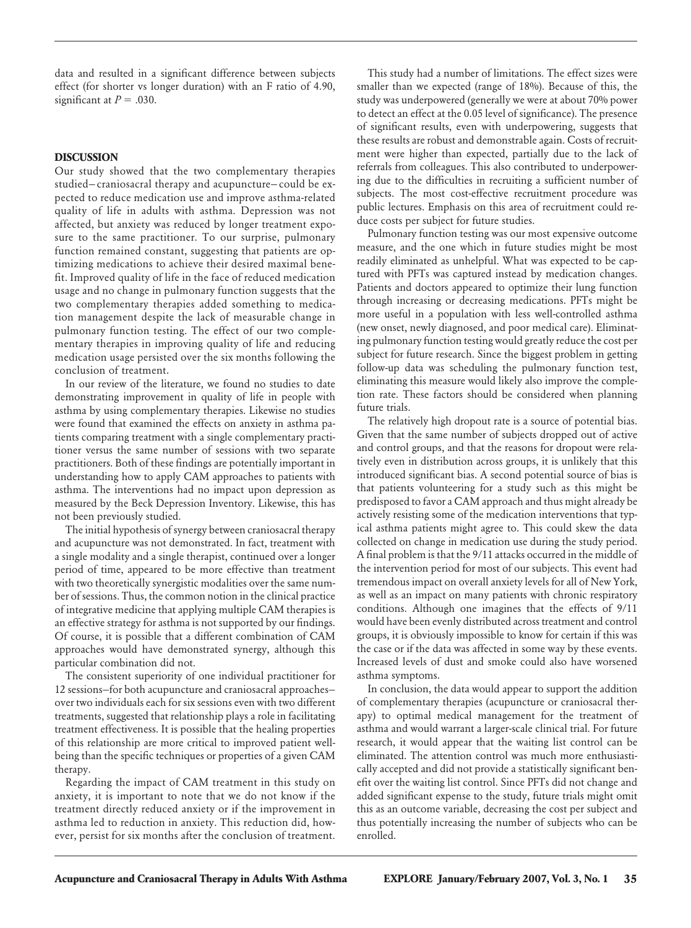data and resulted in a significant difference between subjects effect (for shorter vs longer duration) with an F ratio of 4.90, significant at  $P = .030$ .

# **DISCUSSION**

Our study showed that the two complementary therapies studied— craniosacral therapy and acupuncture— could be expected to reduce medication use and improve asthma-related quality of life in adults with asthma. Depression was not affected, but anxiety was reduced by longer treatment exposure to the same practitioner. To our surprise, pulmonary function remained constant, suggesting that patients are optimizing medications to achieve their desired maximal benefit. Improved quality of life in the face of reduced medication usage and no change in pulmonary function suggests that the two complementary therapies added something to medication management despite the lack of measurable change in pulmonary function testing. The effect of our two complementary therapies in improving quality of life and reducing medication usage persisted over the six months following the conclusion of treatment.

In our review of the literature, we found no studies to date demonstrating improvement in quality of life in people with asthma by using complementary therapies. Likewise no studies were found that examined the effects on anxiety in asthma patients comparing treatment with a single complementary practitioner versus the same number of sessions with two separate practitioners. Both of these findings are potentially important in understanding how to apply CAM approaches to patients with asthma. The interventions had no impact upon depression as measured by the Beck Depression Inventory. Likewise, this has not been previously studied.

The initial hypothesis of synergy between craniosacral therapy and acupuncture was not demonstrated. In fact, treatment with a single modality and a single therapist, continued over a longer period of time, appeared to be more effective than treatment with two theoretically synergistic modalities over the same number of sessions. Thus, the common notion in the clinical practice of integrative medicine that applying multiple CAM therapies is an effective strategy for asthma is not supported by our findings. Of course, it is possible that a different combination of CAM approaches would have demonstrated synergy, although this particular combination did not.

The consistent superiority of one individual practitioner for 12 sessions—for both acupuncture and craniosacral approaches over two individuals each for six sessions even with two different treatments, suggested that relationship plays a role in facilitating treatment effectiveness. It is possible that the healing properties of this relationship are more critical to improved patient wellbeing than the specific techniques or properties of a given CAM therapy.

Regarding the impact of CAM treatment in this study on anxiety, it is important to note that we do not know if the treatment directly reduced anxiety or if the improvement in asthma led to reduction in anxiety. This reduction did, however, persist for six months after the conclusion of treatment.

This study had a number of limitations. The effect sizes were smaller than we expected (range of 18%). Because of this, the study was underpowered (generally we were at about 70% power to detect an effect at the 0.05 level of significance). The presence of significant results, even with underpowering, suggests that these results are robust and demonstrable again. Costs of recruitment were higher than expected, partially due to the lack of referrals from colleagues. This also contributed to underpowering due to the difficulties in recruiting a sufficient number of subjects. The most cost-effective recruitment procedure was public lectures. Emphasis on this area of recruitment could reduce costs per subject for future studies.

Pulmonary function testing was our most expensive outcome measure, and the one which in future studies might be most readily eliminated as unhelpful. What was expected to be captured with PFTs was captured instead by medication changes. Patients and doctors appeared to optimize their lung function through increasing or decreasing medications. PFTs might be more useful in a population with less well-controlled asthma (new onset, newly diagnosed, and poor medical care). Eliminating pulmonary function testing would greatly reduce the cost per subject for future research. Since the biggest problem in getting follow-up data was scheduling the pulmonary function test, eliminating this measure would likely also improve the completion rate. These factors should be considered when planning future trials.

The relatively high dropout rate is a source of potential bias. Given that the same number of subjects dropped out of active and control groups, and that the reasons for dropout were relatively even in distribution across groups, it is unlikely that this introduced significant bias. A second potential source of bias is that patients volunteering for a study such as this might be predisposed to favor a CAM approach and thus might already be actively resisting some of the medication interventions that typical asthma patients might agree to. This could skew the data collected on change in medication use during the study period. A final problem is that the 9/11 attacks occurred in the middle of the intervention period for most of our subjects. This event had tremendous impact on overall anxiety levels for all of New York, as well as an impact on many patients with chronic respiratory conditions. Although one imagines that the effects of 9/11 would have been evenly distributed across treatment and control groups, it is obviously impossible to know for certain if this was the case or if the data was affected in some way by these events. Increased levels of dust and smoke could also have worsened asthma symptoms.

In conclusion, the data would appear to support the addition of complementary therapies (acupuncture or craniosacral therapy) to optimal medical management for the treatment of asthma and would warrant a larger-scale clinical trial. For future research, it would appear that the waiting list control can be eliminated. The attention control was much more enthusiastically accepted and did not provide a statistically significant benefit over the waiting list control. Since PFTs did not change and added significant expense to the study, future trials might omit this as an outcome variable, decreasing the cost per subject and thus potentially increasing the number of subjects who can be enrolled.